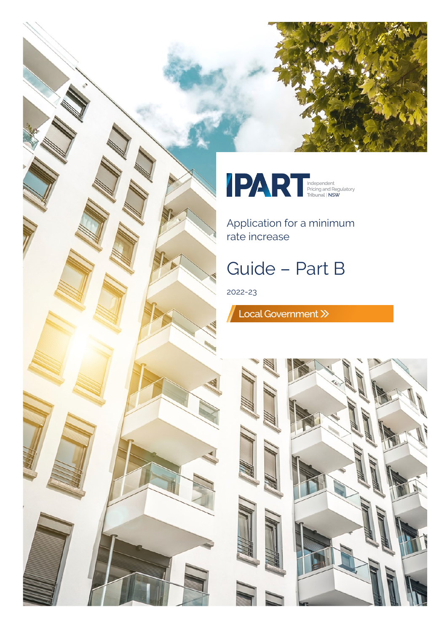



Application for a minimum rate increase

# Guide – Part B

2022-23

Local Government >>

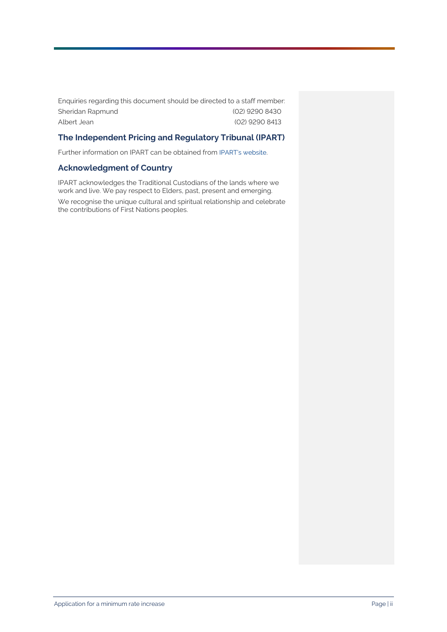Enquiries regarding this document should be directed to a staff member: Sheridan Rapmund (02) 9290 8430 Albert Jean (02) 9290 8413

#### **The Independent Pricing and Regulatory Tribunal (IPART)**

Further information on IPART can be obtained from [IPART's website.](https://www.ipart.nsw.gov.au/Home)

#### **Acknowledgment of Country**

IPART acknowledges the Traditional Custodians of the lands where we work and live. We pay respect to Elders, past, present and emerging.

We recognise the unique cultural and spiritual relationship and celebrate the contributions of First Nations peoples.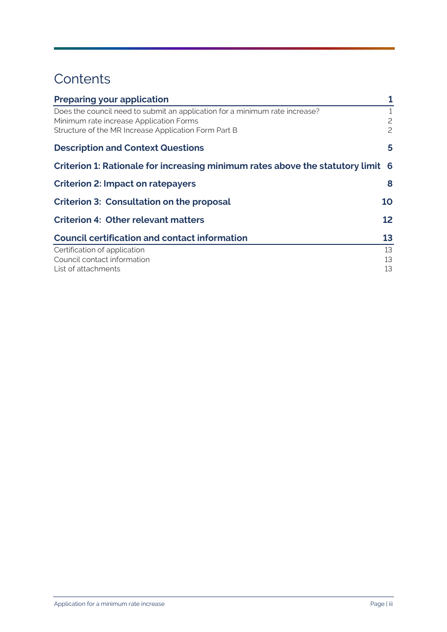## **Contents**

| <b>Preparing your application</b>                                                                                                                                              | 1              |
|--------------------------------------------------------------------------------------------------------------------------------------------------------------------------------|----------------|
| Does the council need to submit an application for a minimum rate increase?<br>Minimum rate increase Application Forms<br>Structure of the MR Increase Application Form Part B | 2<br>2         |
| <b>Description and Context Questions</b>                                                                                                                                       | 5              |
| Criterion 1: Rationale for increasing minimum rates above the statutory limit 6                                                                                                |                |
| <b>Criterion 2: Impact on ratepayers</b>                                                                                                                                       | 8              |
| <b>Criterion 3: Consultation on the proposal</b>                                                                                                                               | 10             |
| <b>Criterion 4: Other relevant matters</b>                                                                                                                                     | 12             |
| <b>Council certification and contact information</b>                                                                                                                           | 13             |
| Certification of application<br>Council contact information<br>List of attachments                                                                                             | 13<br>13<br>13 |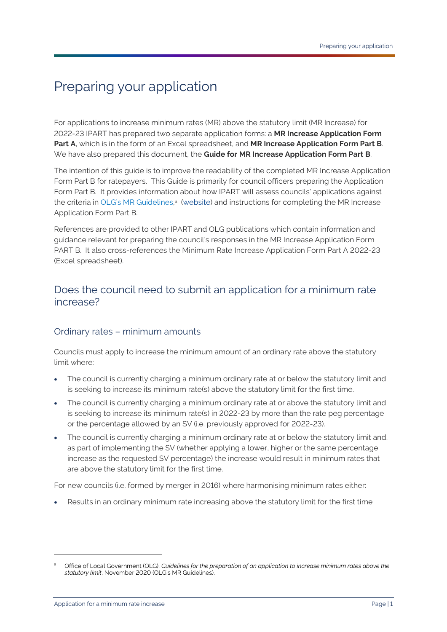## <span id="page-3-0"></span>Preparing your application

For applications to increase minimum rates (MR) above the statutory limit (MR Increase) for 2022-23 IPART has prepared two separate application forms: a **MR Increase Application Form Part A**, which is in the form of an Excel spreadsheet, and **MR Increase Application Form Part B**. We have also prepared this document, the **Guide for MR Increase Application Form Part B**.

The intention of this guide is to improve the readability of the completed MR Increase Application Form Part B for ratepayers. This Guide is primarily for council officers preparing the Application Form Part B. It provides information about how IPART will assess councils' applications against the criteri[a](#page-3-2) in OLG's MR Guidelines,<sup>a</sup> [\(website](https://www.ipart.nsw.gov.au/Home/Industries/Local-Government/For-Councils/Apply-for-a-special-variation-or-minimum-rate-increase)) and instructions for completing the MR Increase Application Form Part B.

References are provided to other IPART and OLG publications which contain information and guidance relevant for preparing the council's responses in the MR Increase Application Form PART B. It also cross-references the Minimum Rate Increase Application Form Part A 2022-23 (Excel spreadsheet).

### <span id="page-3-1"></span>Does the council need to submit an application for a minimum rate increase?

### Ordinary rates – minimum amounts

Councils must apply to increase the minimum amount of an ordinary rate above the statutory limit where:

- The council is currently charging a minimum ordinary rate at or below the statutory limit and is seeking to increase its minimum rate(s) above the statutory limit for the first time.
- The council is currently charging a minimum ordinary rate at or above the statutory limit and is seeking to increase its minimum rate(s) in 2022-23 by more than the rate peg percentage or the percentage allowed by an SV (i.e. previously approved for 2022-23).
- The council is currently charging a minimum ordinary rate at or below the statutory limit and, as part of implementing the SV (whether applying a lower, higher or the same percentage increase as the requested SV percentage) the increase would result in minimum rates that are above the statutory limit for the first time.

For new councils (i.e. formed by merger in 2016) where harmonising minimum rates either:

• Results in an ordinary minimum rate increasing above the statutory limit for the first time

<span id="page-3-2"></span><sup>a</sup> Office of Local Government (OLG), *Guidelines for the preparation of an application to increase minimum rates above the statutory limit*, November 2020 (OLG's MR Guidelines).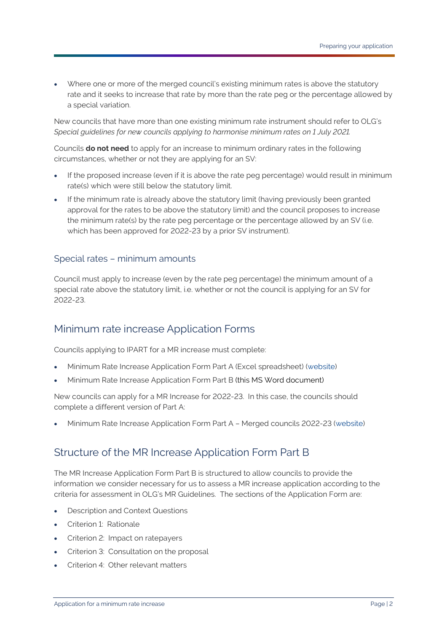• Where one or more of the merged council's existing minimum rates is above the statutory rate and it seeks to increase that rate by more than the rate peg or the percentage allowed by a special variation.

New councils that have more than one existing minimum rate instrument should refer to OLG's *Special guidelines for new councils applying to harmonise minimum rates on 1 July 2021.*

Councils **do not need** to apply for an increase to minimum ordinary rates in the following circumstances, whether or not they are applying for an SV:

- If the proposed increase (even if it is above the rate peg percentage) would result in minimum rate(s) which were still below the statutory limit.
- If the minimum rate is already above the statutory limit (having previously been granted approval for the rates to be above the statutory limit) and the council proposes to increase the minimum rate(s) by the rate peg percentage or the percentage allowed by an SV (i.e. which has been approved for 2022-23 by a prior SV instrument).

#### Special rates – minimum amounts

Council must apply to increase (even by the rate peg percentage) the minimum amount of a special rate above the statutory limit, i.e. whether or not the council is applying for an SV for 2022-23.

### <span id="page-4-0"></span>Minimum rate increase Application Forms

Councils applying to IPART for a MR increase must complete:

- Minimum Rate Increase Application Form Part A (Excel spreadsheet) [\(website](https://www.ipart.nsw.gov.au/Home/Industries/Local-Government/For-Councils/Apply-for-a-special-variation-or-minimum-rate-increase))
- Minimum Rate Increase Application Form Part B (this MS Word document)

New councils can apply for a MR Increase for 2022-23. In this case, the councils should complete a different version of Part A:

<span id="page-4-1"></span>• Minimum Rate Increase Application Form Part A – Merged councils 2022-23 [\(website](https://www.ipart.nsw.gov.au/Home/Industries/Local-Government/For-Councils/Apply-for-a-special-variation-or-minimum-rate-increase))

### Structure of the MR Increase Application Form Part B

The MR Increase Application Form Part B is structured to allow councils to provide the information we consider necessary for us to assess a MR increase application according to the criteria for assessment in OLG's MR Guidelines. The sections of the Application Form are:

- Description and Context Questions
- Criterion 1: Rationale
- Criterion 2: Impact on ratepayers
- Criterion 3: Consultation on the proposal
- Criterion 4: Other relevant matters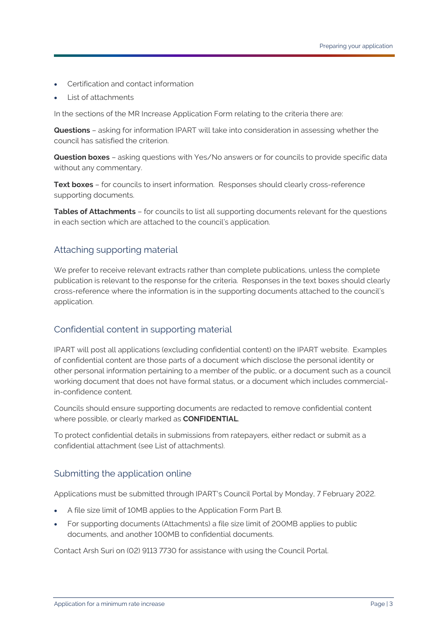- Certification and contact information
- List of attachments

In the sections of the MR Increase Application Form relating to the criteria there are:

**Questions** – asking for information IPART will take into consideration in assessing whether the council has satisfied the criterion.

**Question boxes** – asking questions with Yes/No answers or for councils to provide specific data without any commentary.

**Text boxes** – for councils to insert information. Responses should clearly cross-reference supporting documents.

**Tables of Attachments** – for councils to list all supporting documents relevant for the questions in each section which are attached to the council's application.

### Attaching supporting material

We prefer to receive relevant extracts rather than complete publications, unless the complete publication is relevant to the response for the criteria. Responses in the text boxes should clearly cross-reference where the information is in the supporting documents attached to the council's application.

### Confidential content in supporting material

IPART will post all applications (excluding confidential content) on the IPART website. Examples of confidential content are those parts of a document which disclose the personal identity or other personal information pertaining to a member of the public, or a document such as a council working document that does not have formal status, or a document which includes commercialin-confidence content.

Councils should ensure supporting documents are redacted to remove confidential content where possible, or clearly marked as **CONFIDENTIAL**.

To protect confidential details in submissions from ratepayers, either redact or submit as a confidential attachment (see List of attachments).

### Submitting the application online

Applications must be submitted through IPART's Council Portal by Monday, 7 February 2022.

- A file size limit of 10MB applies to the Application Form Part B.
- For supporting documents (Attachments) a file size limit of 200MB applies to public documents, and another 100MB to confidential documents.

Contact Arsh Suri on (02) 9113 7730 for assistance with using the Council Portal.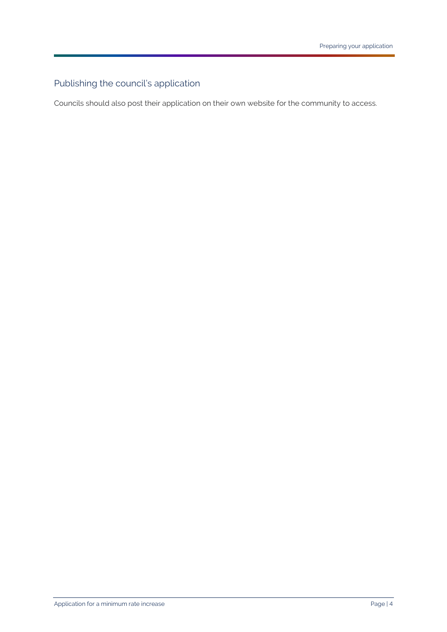## Publishing the council's application

Councils should also post their application on their own website for the community to access.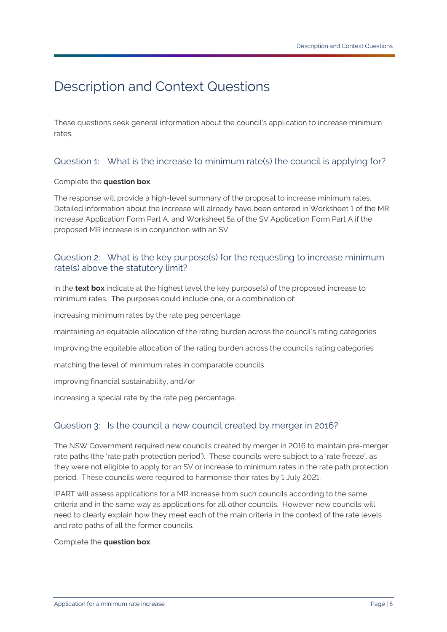## <span id="page-7-0"></span>Description and Context Questions

These questions seek general information about the council's application to increase minimum rates.

### Question 1: What is the increase to minimum rate(s) the council is applying for?

#### Complete the **question box**.

The response will provide a high-level summary of the proposal to increase minimum rates. Detailed information about the increase will already have been entered in Worksheet 1 of the MR Increase Application Form Part A, and Worksheet 5a of the SV Application Form Part A if the proposed MR increase is in conjunction with an SV.

#### Question 2: What is the key purpose(s) for the requesting to increase minimum rate(s) above the statutory limit?

In the **text box** indicate at the highest level the key purpose(s) of the proposed increase to minimum rates. The purposes could include one, or a combination of:

increasing minimum rates by the rate peg percentage

maintaining an equitable allocation of the rating burden across the council's rating categories

improving the equitable allocation of the rating burden across the council's rating categories

matching the level of minimum rates in comparable councils

improving financial sustainability, and/or

increasing a special rate by the rate peg percentage.

#### Question 3: Is the council a new council created by merger in 2016?

The NSW Government required new councils created by merger in 2016 to maintain pre-merger rate paths (the 'rate path protection period'). These councils were subject to a 'rate freeze', as they were not eligible to apply for an SV or increase to minimum rates in the rate path protection period. These councils were required to harmonise their rates by 1 July 2021.

IPART will assess applications for a MR increase from such councils according to the same criteria and in the same way as applications for all other councils. However new councils will need to clearly explain how they meet each of the main criteria in the context of the rate levels and rate paths of all the former councils.

Complete the **question box**.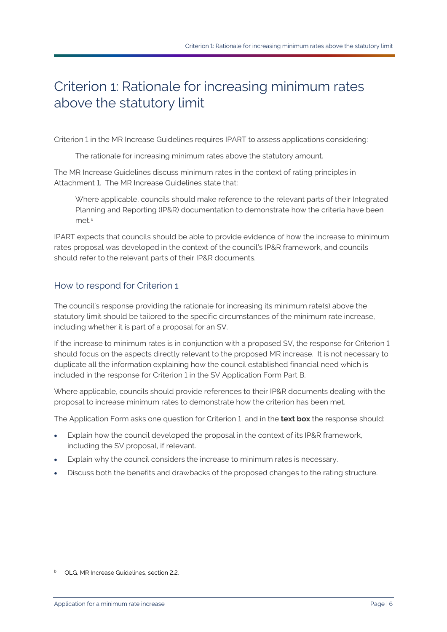## <span id="page-8-0"></span>Criterion 1: Rationale for increasing minimum rates above the statutory limit

Criterion 1 in the MR Increase Guidelines requires IPART to assess applications considering:

The rationale for increasing minimum rates above the statutory amount.

The MR Increase Guidelines discuss minimum rates in the context of rating principles in Attachment 1. The MR Increase Guidelines state that:

Where applicable, councils should make reference to the relevant parts of their Integrated Planning and Reporting (IP&R) documentation to demonstrate how the criteria have been met.<sup>[b](#page-8-1)</sup>

IPART expects that councils should be able to provide evidence of how the increase to minimum rates proposal was developed in the context of the council's IP&R framework, and councils should refer to the relevant parts of their IP&R documents.

### How to respond for Criterion 1

The council's response providing the rationale for increasing its minimum rate(s) above the statutory limit should be tailored to the specific circumstances of the minimum rate increase, including whether it is part of a proposal for an SV.

If the increase to minimum rates is in conjunction with a proposed SV, the response for Criterion 1 should focus on the aspects directly relevant to the proposed MR increase. It is not necessary to duplicate all the information explaining how the council established financial need which is included in the response for Criterion 1 in the SV Application Form Part B.

Where applicable, councils should provide references to their IP&R documents dealing with the proposal to increase minimum rates to demonstrate how the criterion has been met.

The Application Form asks one question for Criterion 1, and in the **text box** the response should:

- Explain how the council developed the proposal in the context of its IP&R framework, including the SV proposal, if relevant.
- Explain why the council considers the increase to minimum rates is necessary.
- Discuss both the benefits and drawbacks of the proposed changes to the rating structure.

<span id="page-8-1"></span><sup>b</sup> OLG, MR Increase Guidelines, section 2.2.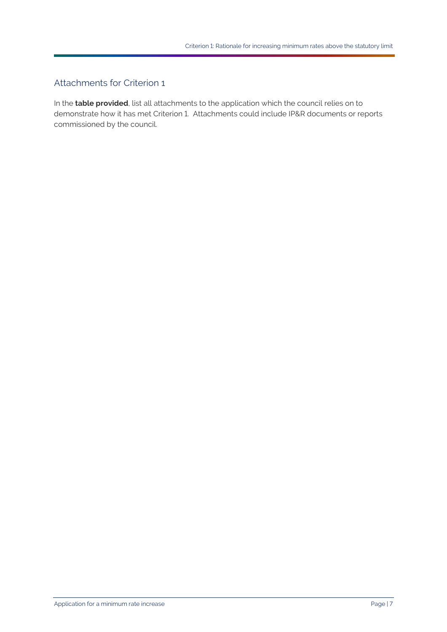### Attachments for Criterion 1

In the **table provided**, list all attachments to the application which the council relies on to demonstrate how it has met Criterion 1. Attachments could include IP&R documents or reports commissioned by the council.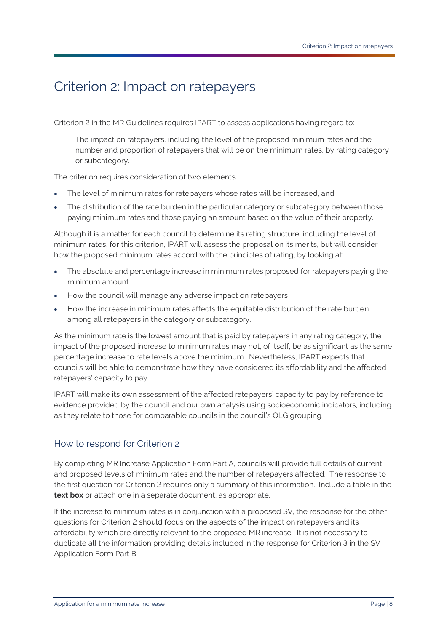## <span id="page-10-0"></span>Criterion 2: Impact on ratepayers

Criterion 2 in the MR Guidelines requires IPART to assess applications having regard to:

The impact on ratepayers, including the level of the proposed minimum rates and the number and proportion of ratepayers that will be on the minimum rates, by rating category or subcategory.

The criterion requires consideration of two elements:

- The level of minimum rates for ratepayers whose rates will be increased, and
- The distribution of the rate burden in the particular category or subcategory between those paying minimum rates and those paying an amount based on the value of their property.

Although it is a matter for each council to determine its rating structure, including the level of minimum rates, for this criterion, IPART will assess the proposal on its merits, but will consider how the proposed minimum rates accord with the principles of rating, by looking at:

- The absolute and percentage increase in minimum rates proposed for ratepayers paying the minimum amount
- How the council will manage any adverse impact on ratepayers
- How the increase in minimum rates affects the equitable distribution of the rate burden among all ratepayers in the category or subcategory.

As the minimum rate is the lowest amount that is paid by ratepayers in any rating category, the impact of the proposed increase to minimum rates may not, of itself, be as significant as the same percentage increase to rate levels above the minimum. Nevertheless, IPART expects that councils will be able to demonstrate how they have considered its affordability and the affected ratepayers' capacity to pay.

IPART will make its own assessment of the affected ratepayers' capacity to pay by reference to evidence provided by the council and our own analysis using socioeconomic indicators, including as they relate to those for comparable councils in the council's OLG grouping.

### How to respond for Criterion 2

By completing MR Increase Application Form Part A, councils will provide full details of current and proposed levels of minimum rates and the number of ratepayers affected. The response to the first question for Criterion 2 requires only a summary of this information. Include a table in the **text box** or attach one in a separate document, as appropriate.

If the increase to minimum rates is in conjunction with a proposed SV, the response for the other questions for Criterion 2 should focus on the aspects of the impact on ratepayers and its affordability which are directly relevant to the proposed MR increase. It is not necessary to duplicate all the information providing details included in the response for Criterion 3 in the SV Application Form Part B.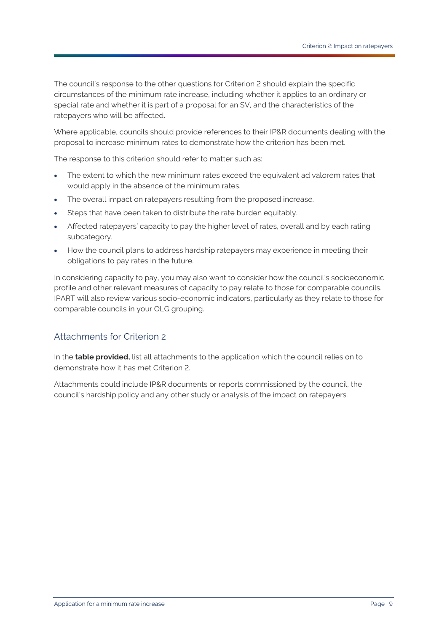The council's response to the other questions for Criterion 2 should explain the specific circumstances of the minimum rate increase, including whether it applies to an ordinary or special rate and whether it is part of a proposal for an SV, and the characteristics of the ratepayers who will be affected.

Where applicable, councils should provide references to their IP&R documents dealing with the proposal to increase minimum rates to demonstrate how the criterion has been met.

The response to this criterion should refer to matter such as:

- The extent to which the new minimum rates exceed the equivalent ad valorem rates that would apply in the absence of the minimum rates.
- The overall impact on ratepayers resulting from the proposed increase.
- Steps that have been taken to distribute the rate burden equitably.
- Affected ratepayers' capacity to pay the higher level of rates, overall and by each rating subcategory.
- How the council plans to address hardship ratepayers may experience in meeting their obligations to pay rates in the future.

In considering capacity to pay, you may also want to consider how the council's socioeconomic profile and other relevant measures of capacity to pay relate to those for comparable councils. IPART will also review various socio-economic indicators, particularly as they relate to those for comparable councils in your OLG grouping.

### Attachments for Criterion 2

In the **table provided,** list all attachments to the application which the council relies on to demonstrate how it has met Criterion 2.

Attachments could include IP&R documents or reports commissioned by the council, the council's hardship policy and any other study or analysis of the impact on ratepayers.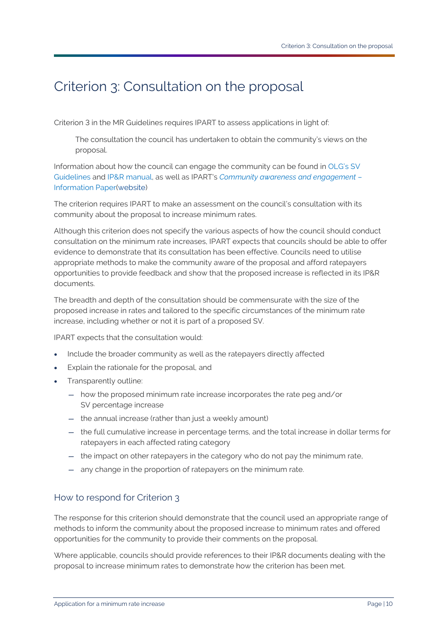## <span id="page-12-0"></span>Criterion 3: Consultation on the proposal

Criterion 3 in the MR Guidelines requires IPART to assess applications in light of:

The consultation the council has undertaken to obtain the community's views on the proposal.

Information about how the council can engage the community can be found in OLG's SV Guidelines and IP&R manual, as well as IPART's *Community awareness and engagement* – Information Paper[\(website](https://www.ipart.nsw.gov.au/Home/Industries/Local-Government/For-Councils/Apply-for-a-special-variation-or-minimum-rate-increase))

The criterion requires IPART to make an assessment on the council's consultation with its community about the proposal to increase minimum rates.

Although this criterion does not specify the various aspects of how the council should conduct consultation on the minimum rate increases, IPART expects that councils should be able to offer evidence to demonstrate that its consultation has been effective. Councils need to utilise appropriate methods to make the community aware of the proposal and afford ratepayers opportunities to provide feedback and show that the proposed increase is reflected in its IP&R documents.

The breadth and depth of the consultation should be commensurate with the size of the proposed increase in rates and tailored to the specific circumstances of the minimum rate increase, including whether or not it is part of a proposed SV.

IPART expects that the consultation would:

- Include the broader community as well as the ratepayers directly affected
- Explain the rationale for the proposal, and
- Transparently outline:
	- how the proposed minimum rate increase incorporates the rate peg and/or SV percentage increase
	- the annual increase (rather than just a weekly amount)
	- the full cumulative increase in percentage terms, and the total increase in dollar terms for ratepayers in each affected rating category
	- the impact on other ratepayers in the category who do not pay the minimum rate,
	- any change in the proportion of ratepayers on the minimum rate.

#### How to respond for Criterion 3

The response for this criterion should demonstrate that the council used an appropriate range of methods to inform the community about the proposed increase to minimum rates and offered opportunities for the community to provide their comments on the proposal.

Where applicable, councils should provide references to their IP&R documents dealing with the proposal to increase minimum rates to demonstrate how the criterion has been met.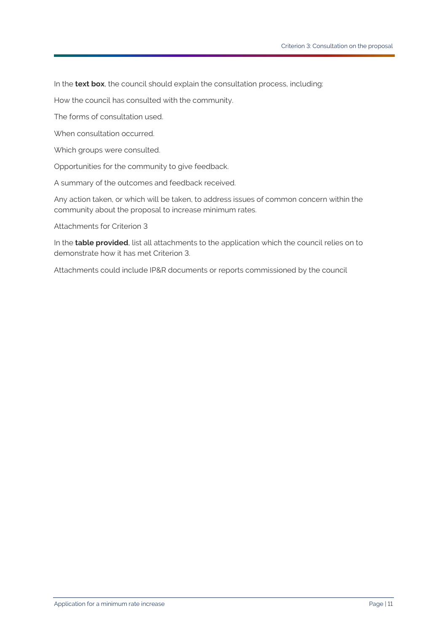In the **text box**, the council should explain the consultation process, including:

How the council has consulted with the community.

The forms of consultation used.

When consultation occurred.

Which groups were consulted.

Opportunities for the community to give feedback.

A summary of the outcomes and feedback received.

Any action taken, or which will be taken, to address issues of common concern within the community about the proposal to increase minimum rates.

Attachments for Criterion 3

In the **table provided**, list all attachments to the application which the council relies on to demonstrate how it has met Criterion 3.

Attachments could include IP&R documents or reports commissioned by the council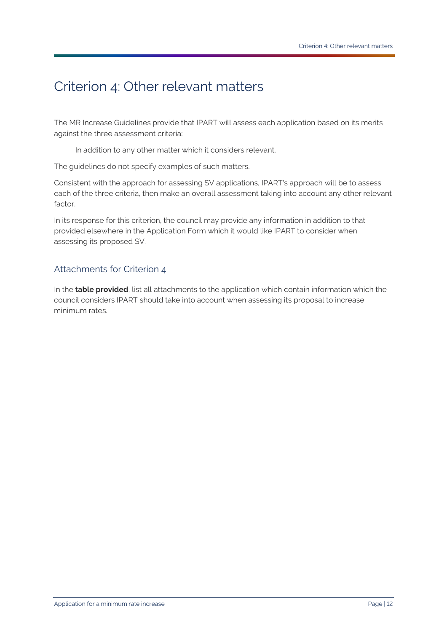## <span id="page-14-0"></span>Criterion 4: Other relevant matters

The MR Increase Guidelines provide that IPART will assess each application based on its merits against the three assessment criteria:

In addition to any other matter which it considers relevant.

The guidelines do not specify examples of such matters.

Consistent with the approach for assessing SV applications, IPART's approach will be to assess each of the three criteria, then make an overall assessment taking into account any other relevant factor.

In its response for this criterion, the council may provide any information in addition to that provided elsewhere in the Application Form which it would like IPART to consider when assessing its proposed SV.

### Attachments for Criterion 4

In the **table provided**, list all attachments to the application which contain information which the council considers IPART should take into account when assessing its proposal to increase minimum rates.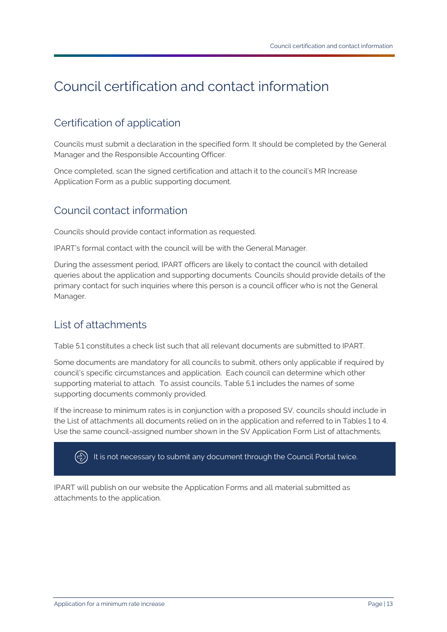## <span id="page-15-0"></span>Council certification and contact information

### <span id="page-15-1"></span>Certification of application

Councils must submit a declaration in the specified form. It should be completed by the General Manager and the Responsible Accounting Officer.

Once completed, scan the signed certification and attach it to the council's MR Increase Application Form as a public supporting document.

### <span id="page-15-2"></span>Council contact information

Councils should provide contact information as requested.

IPART's formal contact with the council will be with the General Manager.

During the assessment period, IPART officers are likely to contact the council with detailed queries about the application and supporting documents. Councils should provide details of the primary contact for such inquiries where this person is a council officer who is not the General Manager.

### <span id="page-15-3"></span>List of attachments

Table 5.1 constitutes a check list such that all relevant documents are submitted to IPART.

Some documents are mandatory for all councils to submit, others only applicable if required by council's specific circumstances and application. Each council can determine which other supporting material to attach. To assist councils, Table 5.1 includes the names of some supporting documents commonly provided.

If the increase to minimum rates is in conjunction with a proposed SV, councils should include in the List of attachments all documents relied on in the application and referred to in Tables 1 to 4. Use the same council-assigned number shown in the SV Application Form List of attachments.

 $\Leftrightarrow$ It is not necessary to submit any document through the Council Portal twice.

IPART will publish on our website the Application Forms and all material submitted as attachments to the application.